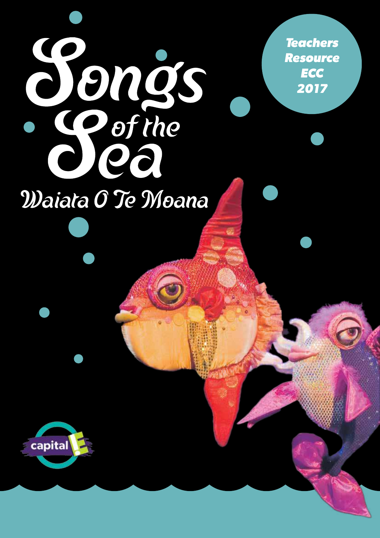*Teachers Resource ECC 2017*

# **Songs**<br>Softhe Waiata O Te Moana

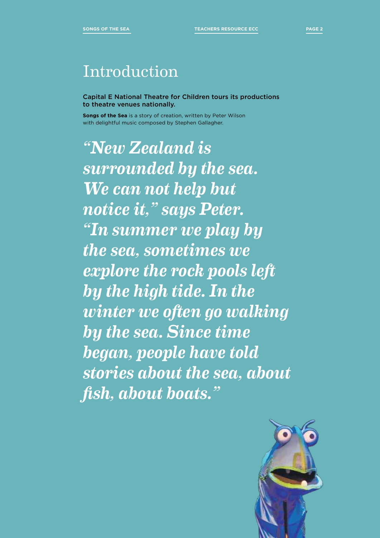# Introduction

Capital E National Theatre for Children tours its productions to theatre venues nationally.

**Songs of the Sea** is a story of creation, written by Peter Wilson with delightful music composed by Stephen Gallagher.

*"New Zealand is surrounded by the sea. We can not help but notice it," says Peter. "In summer we play by the sea, sometimes we explore the rock pools left by the high tide. In the winter we often go walking by the sea. Since time began, people have told stories about the sea, about fish, about boats."*

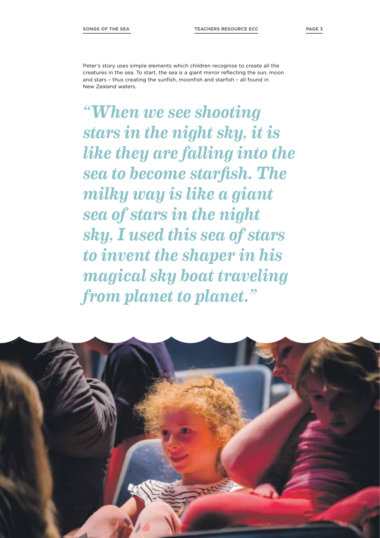Peter's story uses simple elements which children recognise to create all the creatures in the sea. To start, the sea is a giant mirror reflecting the sun, moon and stars – thus creating the sunfish, moonfish and starfish – all found in New Zealand waters.

*"When we see shooting stars in the night sky, it is like they are falling into the sea to become starfish. The milky way is like a giant sea of stars in the night sky, I used this sea of stars to invent the shaper in his magical sky boat traveling from planet to planet."*

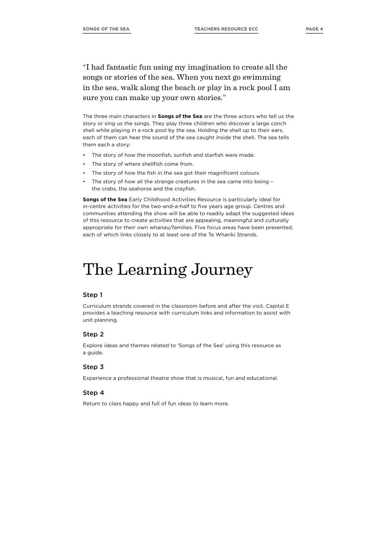"I had fantastic fun using my imagination to create all the songs or stories of the sea. When you next go swimming in the sea, walk along the beach or play in a rock pool I am sure you can make up your own stories."

The three main characters in **Songs of the Sea** are the three actors who tell us the story or sing us the songs. They play three children who discover a large conch shell while playing in a rock pool by the sea. Holding the shell up to their ears, each of them can hear the sound of the sea caught inside the shell. The sea tells them each a story:

- The story of how the moonfish, sunfish and starfish were made.
- The story of where shellfish come from.
- The story of how the fish in the sea got their magnificent colours.
- The story of how all the strange creatures in the sea came into being the crabs, the seahorse and the crayfish.

**Songs of the Sea** Early Childhood Activities Resource is particularly ideal for in-centre activities for the two-and-a-half to five years age group. Centres and communities attending the show will be able to readily adapt the suggested ideas of this resource to create activities that are appealing, meaningful and culturally appropriate for their own whanau/families. Five focus areas have been presented, each of which links closely to at least one of the Te Whariki Strands.

# The Learning Journey

### Step 1

Curriculum strands covered in the classroom before and after the visit. Capital E provides a teaching resource with curriculum links and information to assist with unit planning.

### Step 2

Explore ideas and themes related to 'Songs of the Sea' using this resource as a guide.

### Step 3

Experience a professional theatre show that is musical, fun and educational.

### Step 4

Return to class happy and full of fun ideas to learn more.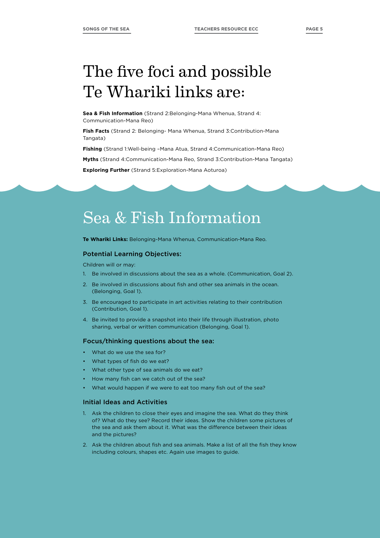# The five foci and possible Te Whariki links are:

**Sea & Fish Information** (Strand 2:Belonging-Mana Whenua, Strand 4: Communication-Mana Reo)

**Fish Facts** (Strand 2: Belonging- Mana Whenua, Strand 3:Contribution-Mana Tangata)

**Fishing** (Strand 1:Well-being –Mana Atua, Strand 4:Communication-Mana Reo)

**Myths** (Strand 4:Communication-Mana Reo, Strand 3:Contribution-Mana Tangata)

**Exploring Further** (Strand 5:Exploration-Mana Aoturoa)

# Sea & Fish Information

**Te Whariki Links:** Belonging-Mana Whenua, Communication-Mana Reo.

### Potential Learning Objectives:

Children will or may:

- 1. Be involved in discussions about the sea as a whole. (Communication, Goal 2).
- 2. Be involved in discussions about fish and other sea animals in the ocean. (Belonging, Goal 1).
- 3. Be encouraged to participate in art activities relating to their contribution (Contribution, Goal 1).
- 4. Be invited to provide a snapshot into their life through illustration, photo sharing, verbal or written communication (Belonging, Goal 1).

### Focus/thinking questions about the sea:

- What do we use the sea for?
- What types of fish do we eat?
- What other type of sea animals do we eat?
- How many fish can we catch out of the sea?
- What would happen if we were to eat too many fish out of the sea?

### Initial Ideas and Activities

- 1. Ask the children to close their eyes and imagine the sea. What do they think of? What do they see? Record their ideas. Show the children some pictures of the sea and ask them about it. What was the difference between their ideas and the pictures?
- 2. Ask the children about fish and sea animals. Make a list of all the fish they know including colours, shapes etc. Again use images to guide.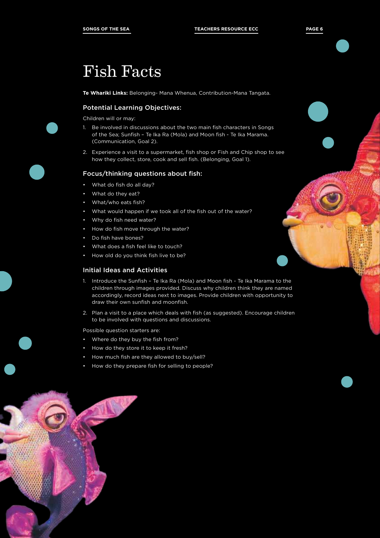# Fish Facts

**Te Whariki Links:** Belonging- Mana Whenua, Contribution-Mana Tangata.

### Potential Learning Objectives:

Children will or may:

- 1. Be involved in discussions about the two main fish characters in Songs of the Sea; Sunfish – Te Ika Ra (Mola) and Moon fish - Te Ika Marama. (Communication, Goal 2).
- 2. Experience a visit to a supermarket, fish shop or Fish and Chip shop to see how they collect, store, cook and sell fish. (Belonging, Goal 1).

### Focus/thinking questions about fish:

- What do fish do all day?
- What do they eat?
- What/who eats fish?
- What would happen if we took all of the fish out of the water?
- Why do fish need water?
- How do fish move through the water?
- Do fish have bones?
- What does a fish feel like to touch?
- How old do you think fish live to be?

### Initial Ideas and Activities

- 1. Introduce the Sunfish Te Ika Ra (Mola) and Moon fish Te Ika Marama to the children through images provided. Discuss why children think they are named accordingly, record ideas next to images. Provide children with opportunity to draw their own sunfish and moonfish.
- 2. Plan a visit to a place which deals with fish (as suggested). Encourage children to be involved with questions and discussions.

Possible question starters are:

- Where do they buy the fish from?
- How do they store it to keep it fresh?
- How much fish are they allowed to buy/sell?
- How do they prepare fish for selling to people?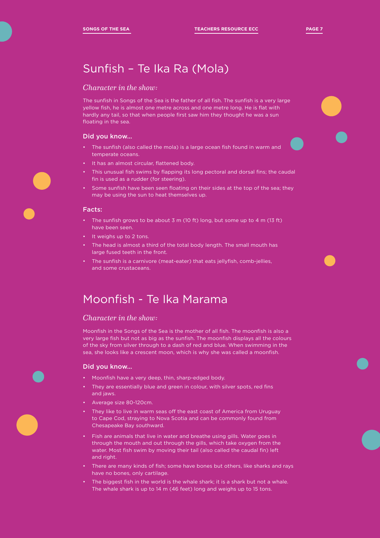# Sunfish – Te Ika Ra (Mola)

# *Character in the show:*

The sunfish in Songs of the Sea is the father of all fish. The sunfish is a very large yellow fish, he is almost one metre across and one metre long. He is flat with hardly any tail, so that when people first saw him they thought he was a sun floating in the sea.

## Did you know…

- The sunfish (also called the mola) is a large ocean fish found in warm and temperate oceans.
- It has an almost circular, flattened body.
- This unusual fish swims by flapping its long pectoral and dorsal fins; the caudal fin is used as a rudder (for steering).
- Some sunfish have been seen floating on their sides at the top of the sea; they may be using the sun to heat themselves up.

### Facts:

- The sunfish grows to be about 3 m (10 ft) long, but some up to 4 m (13 ft) have been seen.
- It weighs up to 2 tons.
- The head is almost a third of the total body length. The small mouth has large fused teeth in the front.
- The sunfish is a carnivore (meat-eater) that eats jellyfish, comb-jellies, and some crustaceans.

# Moonfish - Te Ika Marama

## *Character in the show:*

Moonfish in the Songs of the Sea is the mother of all fish. The moonfish is also a very large fish but not as big as the sunfish. The moonfish displays all the colours of the sky from silver through to a dash of red and blue. When swimming in the sea, she looks like a crescent moon, which is why she was called a moonfish.

### Did you know…

- Moonfish have a very deep, thin, sharp-edged body.
- They are essentially blue and green in colour, with silver spots, red fins and jaws.
- Average size 80-120cm.
- They like to live in warm seas off the east coast of America from Uruguay to Cape Cod, straying to Nova Scotia and can be commonly found from Chesapeake Bay southward.
- Fish are animals that live in water and breathe using gills. Water goes in through the mouth and out through the gills, which take oxygen from the water. Most fish swim by moving their tail (also called the caudal fin) left and right.
- There are many kinds of fish; some have bones but others, like sharks and rays have no bones, only cartilage.
- The biggest fish in the world is the whale shark; it is a shark but not a whale. The whale shark is up to 14 m (46 feet) long and weighs up to 15 tons.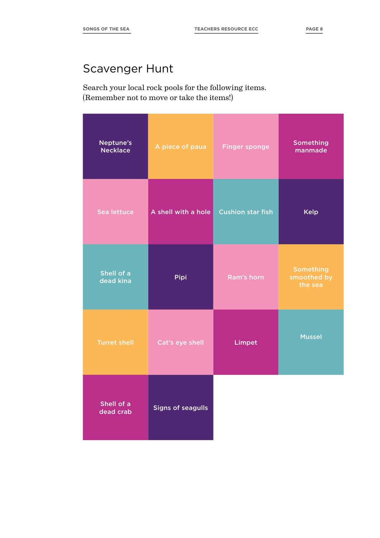# Scavenger Hunt

Search your local rock pools for the following items. (Remember not to move or take the items!)

| Neptune's<br><b>Necklace</b> | A piece of paua          | <b>Finger sponge</b>     | <b>Something</b><br>manmade                |
|------------------------------|--------------------------|--------------------------|--------------------------------------------|
| Sea lettuce                  | A shell with a hole      | <b>Cushion star fish</b> | Kelp                                       |
| Shell of a<br>dead kina      | Pipi                     | Ram's horn               | <b>Something</b><br>smoothed by<br>the sea |
| <b>Turret shell</b>          | Cat's eye shell          | Limpet                   | <b>Mussel</b>                              |
| Shell of a<br>dead crab      | <b>Signs of seagulls</b> |                          |                                            |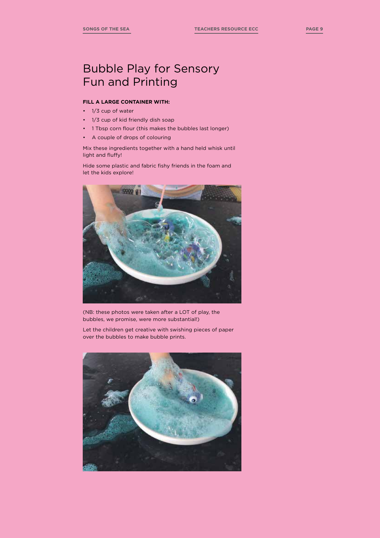### **FILL A LARGE CONTAINER WITH:**

- 1/3 cup of water
- 1/3 cup of kid friendly dish soap
- 1 Tbsp corn flour (this makes the bubbles last longer)
- A couple of drops of colouring

Mix these ingredients together with a hand held whisk until light and fluffy!

Hide some plastic and fabric fishy friends in the foam and let the kids explore!



(NB: these photos were taken after a LOT of play, the bubbles, we promise, were more substantial!)

Let the children get creative with swishing pieces of paper over the bubbles to make bubble prints.

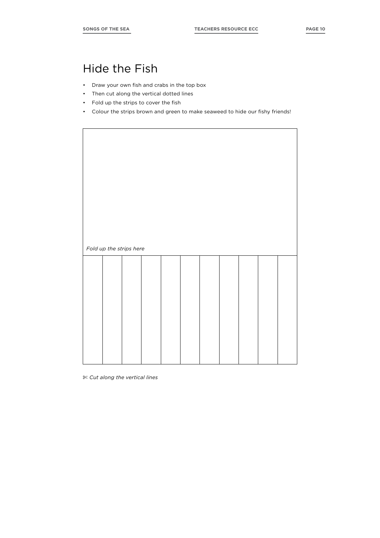# Hide the Fish

- Draw your own fish and crabs in the top box
- Then cut along the vertical dotted lines
- Fold up the strips to cover the fish
- Colour the strips brown and green to make seaweed to hide our fishy friends!

|  | Fold up the strips here |  |  |  |  |
|--|-------------------------|--|--|--|--|
|  |                         |  |  |  |  |
|  |                         |  |  |  |  |
|  |                         |  |  |  |  |
|  |                         |  |  |  |  |
|  |                         |  |  |  |  |
|  |                         |  |  |  |  |
|  |                         |  |  |  |  |

\$ *Cut along the vertical lines*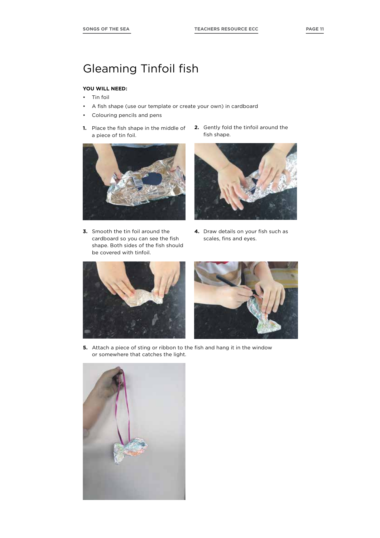# Gleaming Tinfoil fish

## **YOU WILL NEED:**

- Tin foil
- A fish shape (use our template or create your own) in cardboard
- Colouring pencils and pens
- **1.** Place the fish shape in the middle of a piece of tin foil.



**3.** Smooth the tin foil around the cardboard so you can see the fish shape. Both sides of the fish should be covered with tinfoil.

**2.** Gently fold the tinfoil around the fish shape.



**4.** Draw details on your fish such as scales, fins and eyes.





**5.** Attach a piece of sting or ribbon to the fish and hang it in the window or somewhere that catches the light.

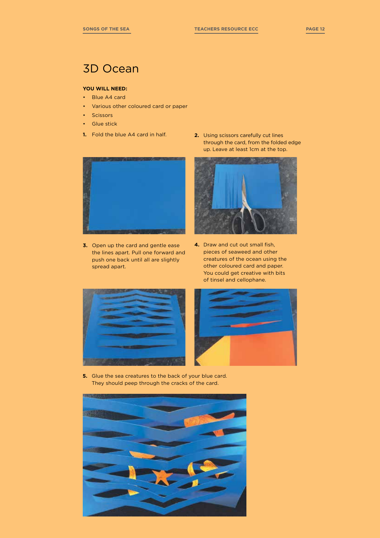# 3D Ocean

# **YOU WILL NEED:**

- Blue A4 card
- Various other coloured card or paper
- Scissors
- Glue stick
- 



**3.** Open up the card and gentle ease the lines apart. Pull one forward and push one back until all are slightly spread apart.

**1.** Fold the blue A4 card in half. **2.** Using scissors carefully cut lines through the card, from the folded edge up. Leave at least 1cm at the top.



**4.** Draw and cut out small fish, pieces of seaweed and other creatures of the ocean using the other coloured card and paper. You could get creative with bits of tinsel and cellophane.





**5.** Glue the sea creatures to the back of your blue card. They should peep through the cracks of the card.

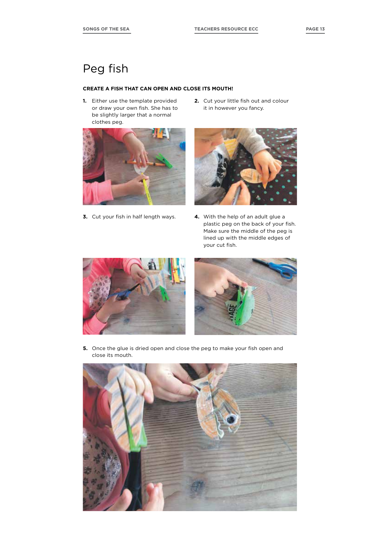# Peg fish

### **CREATE A FISH THAT CAN OPEN AND CLOSE ITS MOUTH!**

**1.** Either use the template provided or draw your own fish. She has to be slightly larger that a normal clothes peg.



**3.** Cut your fish in half length ways. **4.** With the help of an adult glue a

**2.** Cut your little fish out and colour it in however you fancy.



plastic peg on the back of your fish. Make sure the middle of the peg is lined up with the middle edges of your cut fish.





**5.** Once the glue is dried open and close the peg to make your fish open and close its mouth.

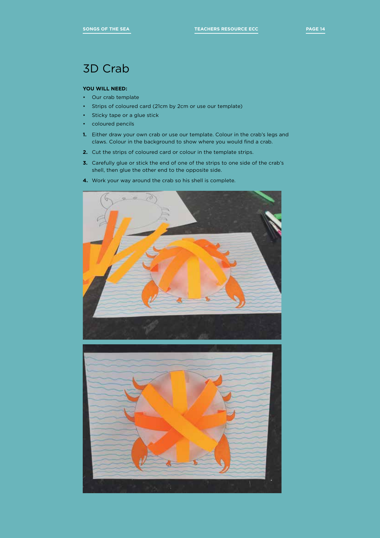# 3D Crab

### **YOU WILL NEED:**

- Our crab template
- Strips of coloured card (21cm by 2cm or use our template)
- Sticky tape or a glue stick
- coloured pencils
- **1.** Either draw your own crab or use our template. Colour in the crab's legs and claws. Colour in the background to show where you would find a crab.
- **2.** Cut the strips of coloured card or colour in the template strips.
- **3.** Carefully glue or stick the end of one of the strips to one side of the crab's shell, then glue the other end to the opposite side.
- **4.** Work your way around the crab so his shell is complete.



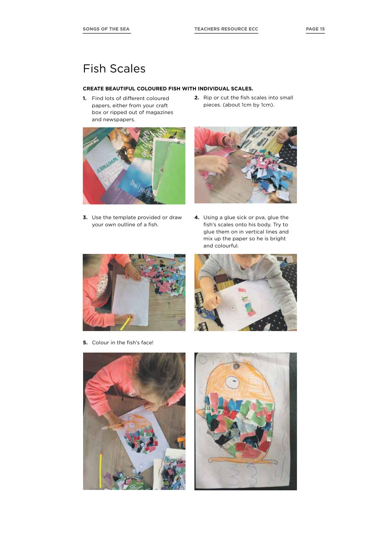# Fish Scales

### **CREATE BEAUTIFUL COLOURED FISH WITH INDIVIDUAL SCALES.**

- **1.** Find lots of different coloured papers, either from your craft box or ripped out of magazines and newspapers.
- **2.** Rip or cut the fish scales into small pieces. (about 1cm by 1cm).



**3.** Use the template provided or draw your own outline of a fish.



**4.** Using a glue sick or pva, glue the fish's scales onto his body. Try to glue them on in vertical lines and mix up the paper so he is bright and colourful.



**5.** Colour in the fish's face!





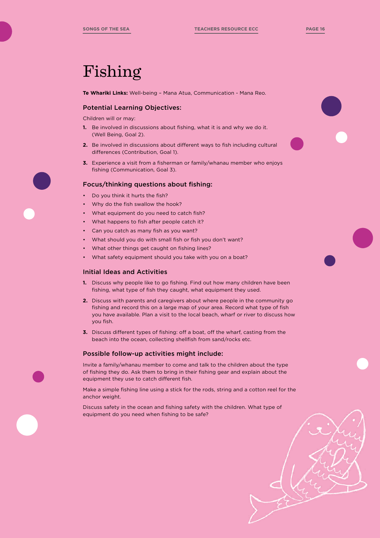# Fishing

**Te Whariki Links:** Well-being – Mana Atua, Communication - Mana Reo.

### Potential Learning Objectives:

Children will or may:

- **1.** Be involved in discussions about fishing, what it is and why we do it. (Well Being, Goal 2).
- **2.** Be involved in discussions about different ways to fish including cultural differences (Contribution, Goal 1).
- **3.** Experience a visit from a fisherman or family/whanau member who enjoys fishing (Communication, Goal 3).

### Focus/thinking questions about fishing:

- Do you think it hurts the fish?
- Why do the fish swallow the hook?
- What equipment do you need to catch fish?
- What happens to fish after people catch it?
- Can you catch as many fish as you want?
- What should you do with small fish or fish you don't want?
- What other things get caught on fishing lines?
- What safety equipment should you take with you on a boat?

### Initial Ideas and Activities

- **1.** Discuss why people like to go fishing. Find out how many children have been fishing, what type of fish they caught, what equipment they used.
- **2.** Discuss with parents and caregivers about where people in the community go fishing and record this on a large map of your area. Record what type of fish you have available. Plan a visit to the local beach, wharf or river to discuss how you fish.
- **3.** Discuss different types of fishing: off a boat, off the wharf, casting from the beach into the ocean, collecting shellfish from sand/rocks etc.

### Possible follow-up activities might include:

Invite a family/whanau member to come and talk to the children about the type of fishing they do. Ask them to bring in their fishing gear and explain about the equipment they use to catch different fish.

Make a simple fishing line using a stick for the rods, string and a cotton reel for the anchor weight.

Discuss safety in the ocean and fishing safety with the children. What type of equipment do you need when fishing to be safe?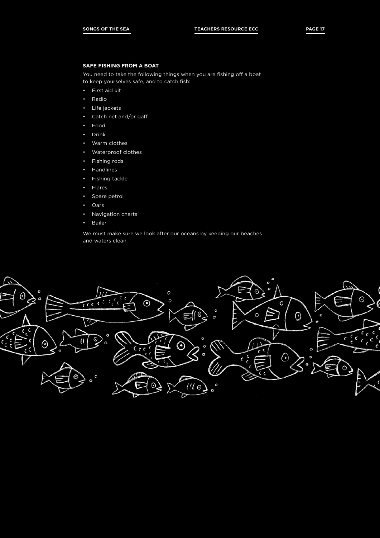### **SAFE FISHING FROM A BOAT**

You need to take the following things when you are fishing off a boat to keep yourselves safe, and to catch fish:

- First aid kit
- Radio
- Life jackets
- Catch net and/or gaff
- Food
- Drink
- Warm clothes
- Waterproof clothes
- Fishing rods
- Handlines
- Fishing tackle
- Flares
- Spare petrol
- Oars
- Navigation charts
- Bailer

We must make sure we look after our oceans by keeping our beaches and waters clean.

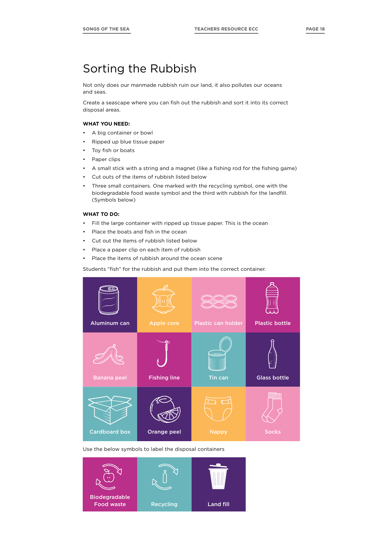# Sorting the Rubbish

Not only does our manmade rubbish ruin our land, it also pollutes our oceans and seas.

Create a seascape where you can fish out the rubbish and sort it into its correct disposal areas.

### **WHAT YOU NEED:**

- A big container or bowl
- Ripped up blue tissue paper
- Toy fish or boats
- Paper clips
- A small stick with a string and a magnet (like a fishing rod for the fishing game)
- Cut outs of the items of rubbish listed below
- Three small containers. One marked with the recycling symbol, one with the biodegradable food waste symbol and the third with rubbish for the landfill. (Symbols below)

### **WHAT TO DO:**

- Fill the large container with ripped up tissue paper. This is the ocean
- Place the boats and fish in the ocean
- Cut out the items of rubbish listed below
- Place a paper clip on each item of rubbish
- Place the items of rubbish around the ocean scene

Students "fish" for the rubbish and put them into the correct container.



Use the below symbols to label the disposal containers

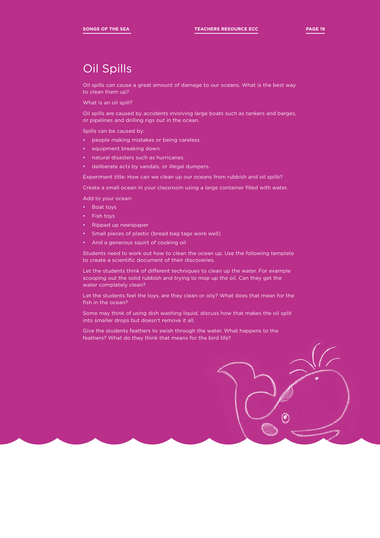# Oil Spills

Oil spills can cause a great amount of damage to our oceans. What is the best way to clean them up?

What is an oil spill?

Oil spills are caused by accidents involving large boats such as tankers and barges, or pipelines and drilling rigs out in the ocean.

Spills can be caused by:

- people making mistakes or being careless.
- equipment breaking down.
- natural disasters such as hurricanes.
- deliberate acts by vandals, or illegal dumpers.

Experiment title: How can we clean up our oceans from rubbish and oil spills?

Create a small ocean in your classroom using a large container filled with water.

Add to your ocean:

- Boat toys
- Fish toys
- Ripped up newspaper
- Small pieces of plastic (bread bag tags work well)
- And a generous squirt of cooking oil

Students need to work out how to clean the ocean up. Use the following template to create a scientific document of their discoveries.

Let the students think of different techniques to clean up the water. For example scooping out the solid rubbish and trying to mop up the oil. Can they get the water completely clean?

Let the students feel the toys, are they clean or oily? What does that mean for the fish in the ocean?

Some may think of using dish washing liquid, discuss how that makes the oil split into smaller drops but doesn't remove it all.

Give the students feathers to swish through the water. What happens to the feathers? What do they think that means for the bird life?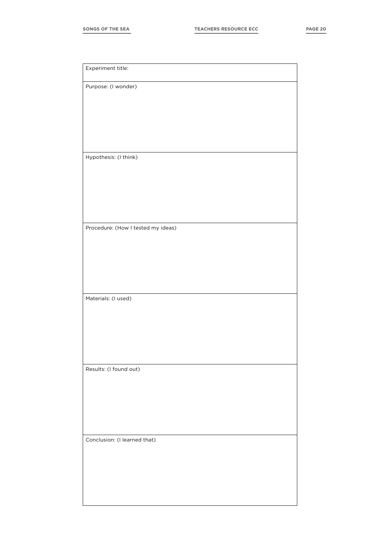| Experiment title:                  |
|------------------------------------|
| Purpose: (I wonder)                |
|                                    |
|                                    |
|                                    |
|                                    |
|                                    |
| Hypothesis: (I think)              |
|                                    |
|                                    |
|                                    |
|                                    |
|                                    |
| Procedure: (How I tested my ideas) |
|                                    |
|                                    |
|                                    |
|                                    |
| Materials: (I used)                |
|                                    |
|                                    |
|                                    |
|                                    |
|                                    |
| Results: (I found out)             |
|                                    |
|                                    |
|                                    |
|                                    |
|                                    |
| Conclusion: (I learned that)       |
|                                    |
|                                    |
|                                    |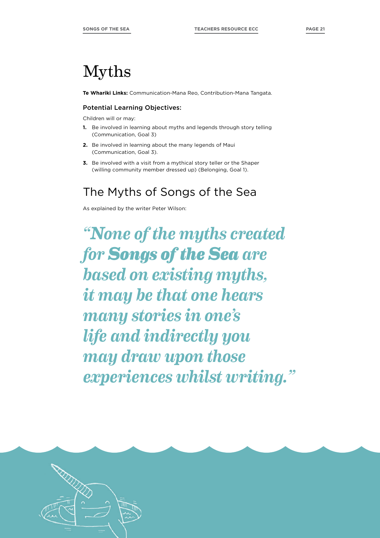# Myths

**Te Whariki Links:** Communication-Mana Reo, Contribution-Mana Tangata.

### Potential Learning Objectives:

Children will or may:

- **1.** Be involved in learning about myths and legends through story telling (Communication, Goal 3)
- **2.** Be involved in learning about the many legends of Maui (Communication, Goal 3).
- **3.** Be involved with a visit from a mythical story teller or the Shaper (willing community member dressed up) (Belonging, Goal 1).

# The Myths of Songs of the Sea

As explained by the writer Peter Wilson:

*"None of the myths created for Songs of the Sea are based on existing myths, it may be that one hears many stories in one's life and indirectly you may draw upon those experiences whilst writing."*

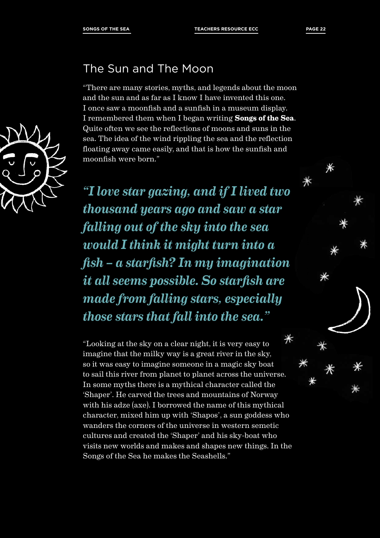

# The Sun and The Moon

"There are many stories, myths, and legends about the moon and the sun and as far as I know I have invented this one. I once saw a moonfish and a sunfish in a museum display. I remembered them when I began writing **Songs of the Sea**. Quite often we see the reflections of moons and suns in the sea. The idea of the wind rippling the sea and the reflection floating away came easily, and that is how the sunfish and moonfish were born."

*"I love star gazing, and if I lived two thousand years ago and saw a star falling out of the sky into the sea would I think it might turn into a fish – a starfish? In my imagination it all seems possible. So starfish are made from falling stars, especially those stars that fall into the sea."*

 $*$ "Looking at the sky on a clear night, it is very easy to imagine that the milky way is a great river in the sky, so it was easy to imagine someone in a magic sky boat to sail this river from planet to planet across the universe. In some myths there is a mythical character called the 'Shaper'. He carved the trees and mountains of Norway with his adze (axe). I borrowed the name of this mythical character, mixed him up with 'Shapos', a sun goddess who wanders the corners of the universe in western semetic cultures and created the 'Shaper' and his sky-boat who visits new worlds and makes and shapes new things. In the Songs of the Sea he makes the Seashells."

 $*$ 

Ж

 $*$